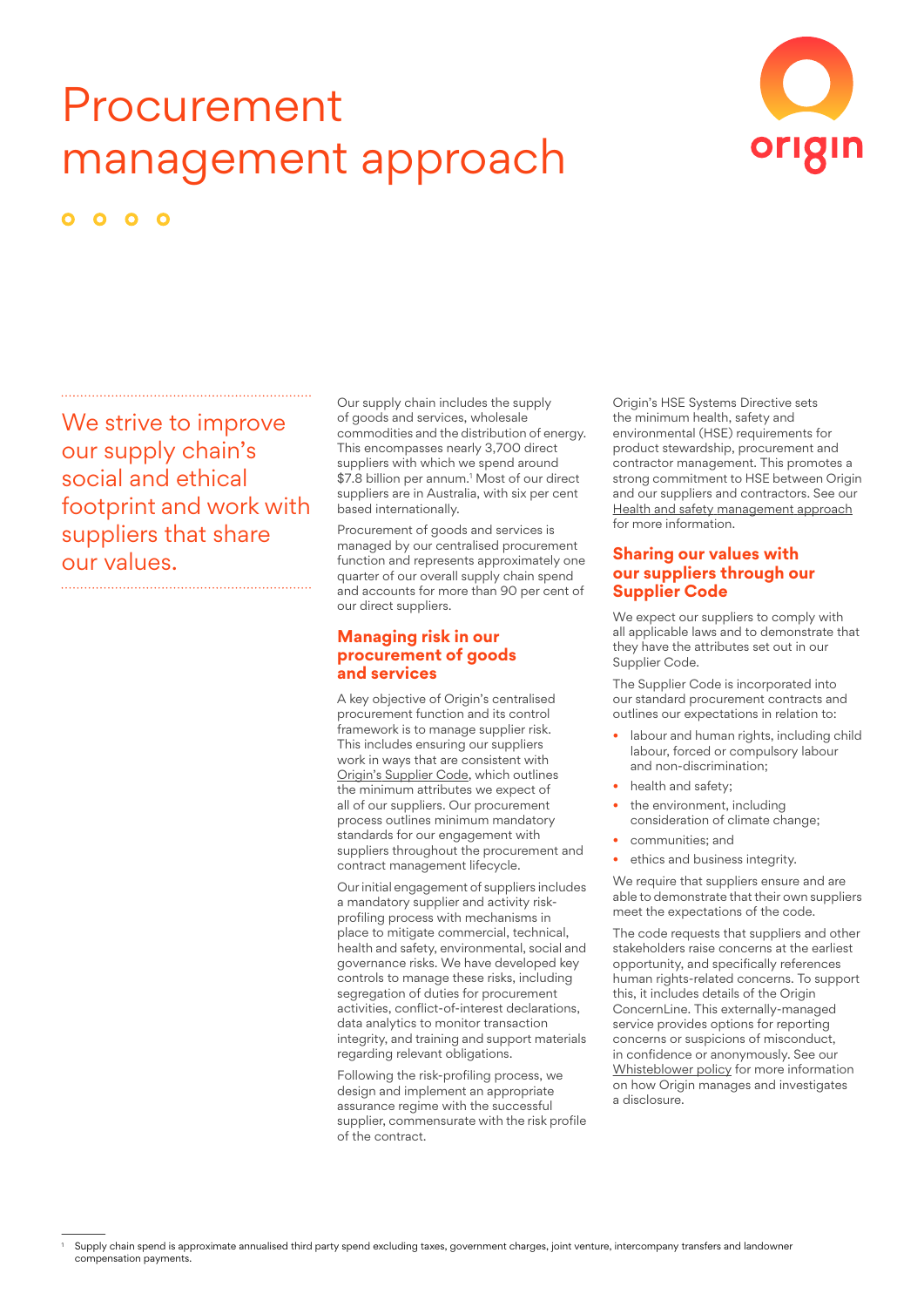# Procurement management approach



 $\bullet$ 

We strive to improve our supply chain's social and ethical footprint and work with suppliers that share our values. 

Our supply chain includes the supply of goods and services, wholesale commodities and the distribution of energy. This encompasses nearly 3,700 direct suppliers with which we spend around \$7.8 billion per annum.<sup>1</sup> Most of our direct suppliers are in Australia, with six per cent based internationally.

Procurement of goods and services is managed by our centralised procurement function and represents approximately one quarter of our overall supply chain spend and accounts for more than 90 per cent of our direct suppliers.

### **Managing risk in our procurement of goods and services**

A key objective of Origin's centralised procurement function and its control framework is to manage supplier risk. This includes ensuring our suppliers work in ways that are consistent with Origin's [Supplier](https://www.originenergy.com.au/content/dam/origin/residential/docs/elec-gas/our-supplier-code.pdf) Code, which outlines the minimum attributes we expect of all of our suppliers. Our procurement process outlines minimum mandatory standards for our engagement with suppliers throughout the procurement and contract management lifecycle.

Ourinitial engagement of suppliers includes a mandatory supplier and activity riskprofiling process with mechanisms in place to mitigate commercial, technical, health and safety, environmental, social and governance risks. We have developed key controls to manage these risks, including segregation of duties for procurement activities, conflict-of-interest declarations, data analytics to monitor transaction integrity, and training and support materials regarding relevant obligations.

Following the risk-profiling process, we design and implement an appropriate assurance regime with the successful supplier, commensurate with the risk profile of the contract.

Origin's HSE Systems Directive sets the minimum health, safety and environmental (HSE) requirements for product stewardship, procurement and contractor management. This promotes a strong commitment to HSE between Origin and our suppliers and contractors. See our Health and safety [management](https://www.originenergy.com.au/content/dam/origin/about/investors-media/origin_our_approach_health_safety.pdf) approach for more information.

## **Sharing our values with our suppliers through our Supplier Code**

We expect our suppliers to comply with all applicable laws and to demonstrate that they have the attributes set out in our Supplier Code.

The Supplier Code is incorporated into our standard procurement contracts and outlines our expectations in relation to:

- labour and human rights, including child labour, forced or compulsory labour and non-discrimination;
- health and safety;
- the environment, including consideration of climate change;
- communities; and
- ethics and business integrity.

We require that suppliers ensure and are able to demonstrate that their own suppliers meet the expectations of the code.

The code requests that suppliers and other stakeholders raise concerns at the earliest opportunity, and specifically references human rights-related concerns. To support this, it includes details of the Origin ConcernLine. This externally-managed service provides options for reporting concerns or suspicions of misconduct, in confidence or anonymously. See our [Whisteblower](https://www.originenergy.com.au/content/dam/origin/about/investors-media/documents/whistleblower-policy.pdf) policy for more information on how Origin manages and investigates a disclosure.

Supply chain spend is approximate annualised third party spend excluding taxes, government charges, joint venture, intercompany transfers and landowner compensation payments.